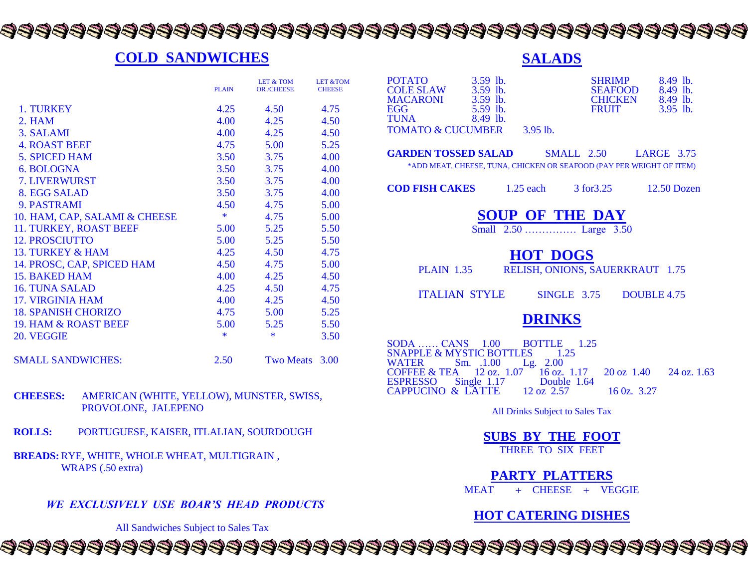## 

#### **COLD SANDWICHES**

|                               | <b>PLAIN</b> | <b>LET &amp; TOM</b><br><b>OR /CHEESE</b> | <b>LET &amp;TOM</b><br><b>CHEESE</b> |
|-------------------------------|--------------|-------------------------------------------|--------------------------------------|
|                               |              |                                           |                                      |
| 1. TURKEY                     | 4.25         | 4.50                                      | 4.75                                 |
| 2. HAM                        | 4.00         | 4.25                                      | 4.50                                 |
| 3. SALAMI                     | 4.00         | 4.25                                      | 4.50                                 |
| <b>4. ROAST BEEF</b>          | 4.75         | 5.00                                      | 5.25                                 |
| <b>5. SPICED HAM</b>          | 3.50         | 3.75                                      | 4.00                                 |
| 6. BOLOGNA                    | 3.50         | 3.75                                      | 4.00                                 |
| <b>7. LIVERWURST</b>          | 3.50         | 3.75                                      | 4.00                                 |
| 8. EGG SALAD                  | 3.50         | 3.75                                      | 4.00                                 |
| 9. PASTRAMI                   | 4.50         | 4.75                                      | 5.00                                 |
| 10. HAM, CAP, SALAMI & CHEESE | $\ast$       | 4.75                                      | 5.00                                 |
| 11. TURKEY, ROAST BEEF        | 5.00         | 5.25                                      | 5.50                                 |
| <b>12. PROSCIUTTO</b>         | 5.00         | 5.25                                      | 5.50                                 |
| <b>13. TURKEY &amp; HAM</b>   | 4.25         | 4.50                                      | 4.75                                 |
| 14. PROSC, CAP, SPICED HAM    | 4.50         | 4.75                                      | 5.00                                 |
| 15. BAKED HAM                 | 4.00         | 4.25                                      | 4.50                                 |
| <b>16. TUNA SALAD</b>         | 4.25         | 4.50                                      | 4.75                                 |
| <b>17. VIRGINIA HAM</b>       | 4.00         | 4.25                                      | 4.50                                 |
| <b>18. SPANISH CHORIZO</b>    | 4.75         | 5.00                                      | 5.25                                 |
| 19. HAM & ROAST BEEF          | 5.00         | 5.25                                      | 5.50                                 |
| 20. VEGGIE                    | $\ast$       | $\ast$                                    | 3.50                                 |
| <b>SMALL SANDWICHES:</b>      | 2.50         | <b>Two Meats</b>                          | 3.00                                 |

#### **CHEESES:** AMERICAN (WHITE, YELLOW), MUNSTER, SWISS, PROVOLONE, JALEPENO

- **ROLLS:** PORTUGUESE, KAISER, ITLALIAN, SOURDOUGH
- **BREADS:** RYE, WHITE, WHOLE WHEAT, MULTIGRAIN , WRAPS (.50 extra)

*WE EXCLUSIVELY USE BOAR'S HEAD PRODUCTS*

All Sandwiches Subject to Sales Tax

#### **SALADS**

| <b>POTATO</b><br>$3.59$ lb.<br>$3.59$ lb.<br><b>COLE SLAW</b><br><b>MACARONI</b><br>$3.59$ lb.<br>$5.59$ lb.<br>EGG<br>TUNA                                                                                                                | 8.49 lb.<br><b>SHRIMP</b><br>SEAFOOD 8.49 lb.<br>$CHICKEN$ 8.49 lb.<br>3.95 lb.<br><b>FRUIT</b> |  |
|--------------------------------------------------------------------------------------------------------------------------------------------------------------------------------------------------------------------------------------------|-------------------------------------------------------------------------------------------------|--|
| 8.49 lb.<br>TOMATO & CUCUMBER 3.95 lb.                                                                                                                                                                                                     |                                                                                                 |  |
| <b>GARDEN TOSSED SALAD SMALL 2.50 LARGE 3.75</b><br>*ADD MEAT, CHEESE, TUNA, CHICKEN OR SEAFOOD (PAY PER WEIGHT OF ITEM)                                                                                                                   |                                                                                                 |  |
| <b>COD FISH CAKES</b> 1.25 each 3 for 3.25 12.50 Dozen                                                                                                                                                                                     |                                                                                                 |  |
| <b>SOUP OF THE DAY</b><br>Small 2.50  Large 3.50                                                                                                                                                                                           |                                                                                                 |  |
| <b>HOT DOGS</b><br>PLAIN 1.35 RELISH, ONIONS, SAUERKRAUT 1.75                                                                                                                                                                              |                                                                                                 |  |
| <b>ITALIAN STYLE SINGLE 3.75 DOUBLE 4.75</b>                                                                                                                                                                                               |                                                                                                 |  |
| <b>DRINKS</b>                                                                                                                                                                                                                              |                                                                                                 |  |
| SODA  CANS 1.00 BOTTLE 1.25<br>SNAPPLE & MYSTIC BOTTLES 1.25<br>Sm. .1.00 Lg. 2.00<br>WATER<br>COFFEE & TEA 12 oz. 1.07 16 oz. 1.17 20 oz 1.40 24 oz. 1.63<br>ESPRESSO Single 1.17 Double 1.64<br>CAPPUCINO & LATTE 12 oz 2.57 16 0z. 3.27 |                                                                                                 |  |
| All Drinks Subject to Sales Tax                                                                                                                                                                                                            |                                                                                                 |  |
| <b>SUBS BY THE FOOT</b><br>THREE TO SIX FEET                                                                                                                                                                                               |                                                                                                 |  |
| <b>PARTY PLATTERS</b><br>$MEAT + CHEESE + VEGGIE$                                                                                                                                                                                          |                                                                                                 |  |
| <b>HOT CATERING DISHES</b>                                                                                                                                                                                                                 |                                                                                                 |  |